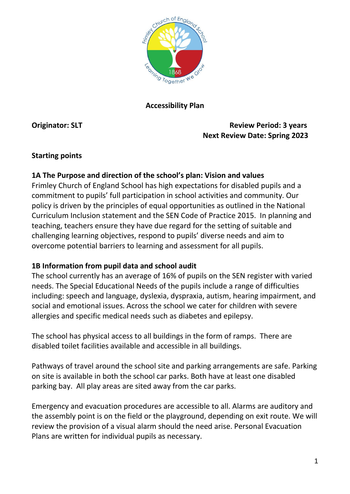

#### **Accessibility Plan**

**Originator: SLT COLLEGATION Review Period: 3 years Next Review Date: Spring 2023**

## **Starting points**

## **1A The Purpose and direction of the school's plan: Vision and values**

Frimley Church of England School has high expectations for disabled pupils and a commitment to pupils' full participation in school activities and community. Our policy is driven by the principles of equal opportunities as outlined in the National Curriculum Inclusion statement and the SEN Code of Practice 2015. In planning and teaching, teachers ensure they have due regard for the setting of suitable and challenging learning objectives, respond to pupils' diverse needs and aim to overcome potential barriers to learning and assessment for all pupils.

#### **1B Information from pupil data and school audit**

The school currently has an average of 16% of pupils on the SEN register with varied needs. The Special Educational Needs of the pupils include a range of difficulties including: speech and language, dyslexia, dyspraxia, autism, hearing impairment, and social and emotional issues. Across the school we cater for children with severe allergies and specific medical needs such as diabetes and epilepsy.

The school has physical access to all buildings in the form of ramps. There are disabled toilet facilities available and accessible in all buildings.

Pathways of travel around the school site and parking arrangements are safe. Parking on site is available in both the school car parks. Both have at least one disabled parking bay. All play areas are sited away from the car parks.

Emergency and evacuation procedures are accessible to all. Alarms are auditory and the assembly point is on the field or the playground, depending on exit route. We will review the provision of a visual alarm should the need arise. Personal Evacuation Plans are written for individual pupils as necessary.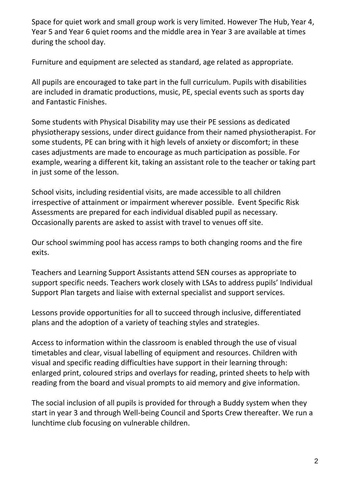Space for quiet work and small group work is very limited. However The Hub, Year 4, Year 5 and Year 6 quiet rooms and the middle area in Year 3 are available at times during the school day.

Furniture and equipment are selected as standard, age related as appropriate.

All pupils are encouraged to take part in the full curriculum. Pupils with disabilities are included in dramatic productions, music, PE, special events such as sports day and Fantastic Finishes.

Some students with Physical Disability may use their PE sessions as dedicated physiotherapy sessions, under direct guidance from their named physiotherapist. For some students, PE can bring with it high levels of anxiety or discomfort; in these cases adjustments are made to encourage as much participation as possible. For example, wearing a different kit, taking an assistant role to the teacher or taking part in just some of the lesson.

School visits, including residential visits, are made accessible to all children irrespective of attainment or impairment wherever possible. Event Specific Risk Assessments are prepared for each individual disabled pupil as necessary. Occasionally parents are asked to assist with travel to venues off site.

Our school swimming pool has access ramps to both changing rooms and the fire exits.

Teachers and Learning Support Assistants attend SEN courses as appropriate to support specific needs. Teachers work closely with LSAs to address pupils' Individual Support Plan targets and liaise with external specialist and support services.

Lessons provide opportunities for all to succeed through inclusive, differentiated plans and the adoption of a variety of teaching styles and strategies.

Access to information within the classroom is enabled through the use of visual timetables and clear, visual labelling of equipment and resources. Children with visual and specific reading difficulties have support in their learning through: enlarged print, coloured strips and overlays for reading, printed sheets to help with reading from the board and visual prompts to aid memory and give information.

The social inclusion of all pupils is provided for through a Buddy system when they start in year 3 and through Well-being Council and Sports Crew thereafter. We run a lunchtime club focusing on vulnerable children.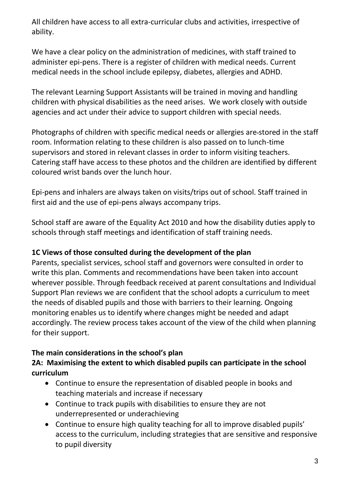All children have access to all extra-curricular clubs and activities, irrespective of ability.

We have a clear policy on the administration of medicines, with staff trained to administer epi-pens. There is a register of children with medical needs. Current medical needs in the school include epilepsy, diabetes, allergies and ADHD.

The relevant Learning Support Assistants will be trained in moving and handling children with physical disabilities as the need arises. We work closely with outside agencies and act under their advice to support children with special needs.

Photographs of children with specific medical needs or allergies are stored in the staff room. Information relating to these children is also passed on to lunch-time supervisors and stored in relevant classes in order to inform visiting teachers. Catering staff have access to these photos and the children are identified by different coloured wrist bands over the lunch hour.

Epi-pens and inhalers are always taken on visits/trips out of school. Staff trained in first aid and the use of epi-pens always accompany trips.

School staff are aware of the Equality Act 2010 and how the disability duties apply to schools through staff meetings and identification of staff training needs.

## **1C Views of those consulted during the development of the plan**

Parents, specialist services, school staff and governors were consulted in order to write this plan. Comments and recommendations have been taken into account wherever possible. Through feedback received at parent consultations and Individual Support Plan reviews we are confident that the school adopts a curriculum to meet the needs of disabled pupils and those with barriers to their learning. Ongoing monitoring enables us to identify where changes might be needed and adapt accordingly. The review process takes account of the view of the child when planning for their support.

## **The main considerations in the school's plan**

## **2A: Maximising the extent to which disabled pupils can participate in the school curriculum**

- Continue to ensure the representation of disabled people in books and teaching materials and increase if necessary
- Continue to track pupils with disabilities to ensure they are not underrepresented or underachieving
- Continue to ensure high quality teaching for all to improve disabled pupils' access to the curriculum, including strategies that are sensitive and responsive to pupil diversity